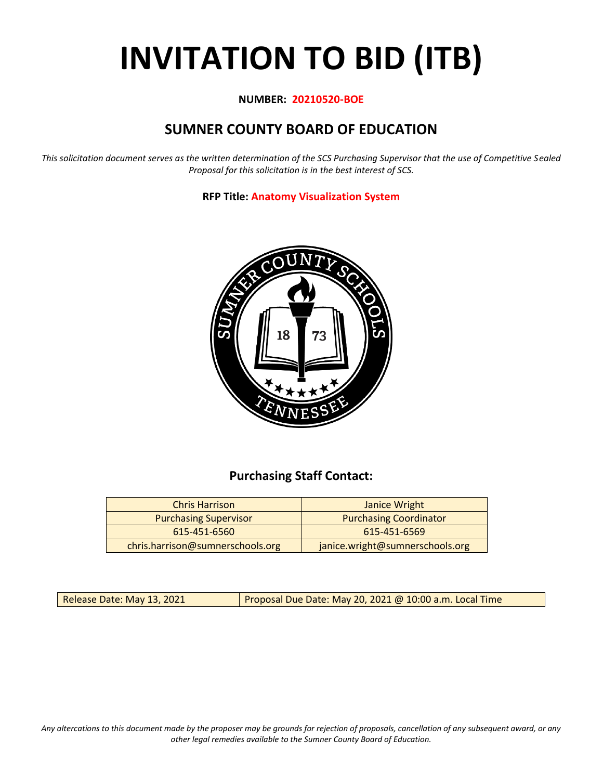# **INVITATION TO BID (ITB)**

#### **NUMBER: 20210520-BOE**

## **SUMNER COUNTY BOARD OF EDUCATION**

*This solicitation document serves as the written determination of the SCS Purchasing Supervisor that the use of Competitive Sealed Proposal for this solicitation is in the best interest of SCS.*

**RFP Title: Anatomy Visualization System**



## **Purchasing Staff Contact:**

| <b>Chris Harrison</b>            | Janice Wright                   |
|----------------------------------|---------------------------------|
| <b>Purchasing Supervisor</b>     | <b>Purchasing Coordinator</b>   |
| 615-451-6560                     | 615-451-6569                    |
| chris.harrison@sumnerschools.org | janice.wright@sumnerschools.org |

Release Date: May 13, 2021 **Proposal Due Date: May 20, 2021 @ 10:00 a.m. Local Time** 

*Any altercations to this document made by the proposer may be grounds for rejection of proposals, cancellation of any subsequent award, or any other legal remedies available to the Sumner County Board of Education.*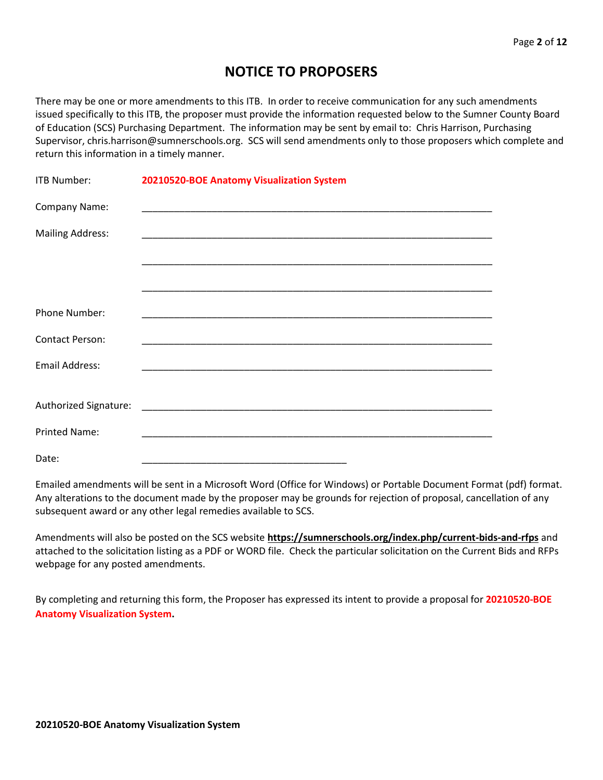## **NOTICE TO PROPOSERS**

There may be one or more amendments to this ITB. In order to receive communication for any such amendments issued specifically to this ITB, the proposer must provide the information requested below to the Sumner County Board of Education (SCS) Purchasing Department. The information may be sent by email to: Chris Harrison, Purchasing Supervisor, chris.harrison@sumnerschools.org. SCS will send amendments only to those proposers which complete and return this information in a timely manner.

| <b>ITB Number:</b>      | 20210520-BOE Anatomy Visualization System |  |  |
|-------------------------|-------------------------------------------|--|--|
| Company Name:           |                                           |  |  |
| <b>Mailing Address:</b> |                                           |  |  |
|                         |                                           |  |  |
|                         |                                           |  |  |
| Phone Number:           |                                           |  |  |
|                         |                                           |  |  |
| <b>Contact Person:</b>  |                                           |  |  |
| Email Address:          |                                           |  |  |
|                         |                                           |  |  |
|                         |                                           |  |  |
| <b>Printed Name:</b>    |                                           |  |  |
| Date:                   |                                           |  |  |

Emailed amendments will be sent in a Microsoft Word (Office for Windows) or Portable Document Format (pdf) format. Any alterations to the document made by the proposer may be grounds for rejection of proposal, cancellation of any subsequent award or any other legal remedies available to SCS.

Amendments will also be posted on the SCS website **https://sumnerschools.org/index.php/current-bids-and-rfps** and attached to the solicitation listing as a PDF or WORD file. Check the particular solicitation on the Current Bids and RFPs webpage for any posted amendments.

By completing and returning this form, the Proposer has expressed its intent to provide a proposal for **20210520-BOE Anatomy Visualization System.**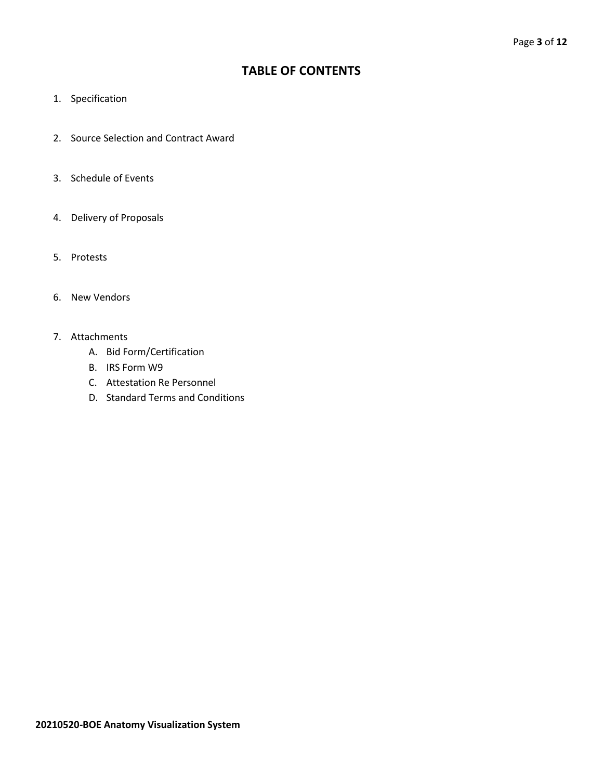### **TABLE OF CONTENTS**

- 1. Specification
- 2. Source Selection and Contract Award
- 3. Schedule of Events
- 4. Delivery of Proposals
- 5. Protests
- 6. New Vendors
- 7. Attachments
	- A. Bid Form/Certification
	- B. IRS Form W9
	- C. Attestation Re Personnel
	- D. Standard Terms and Conditions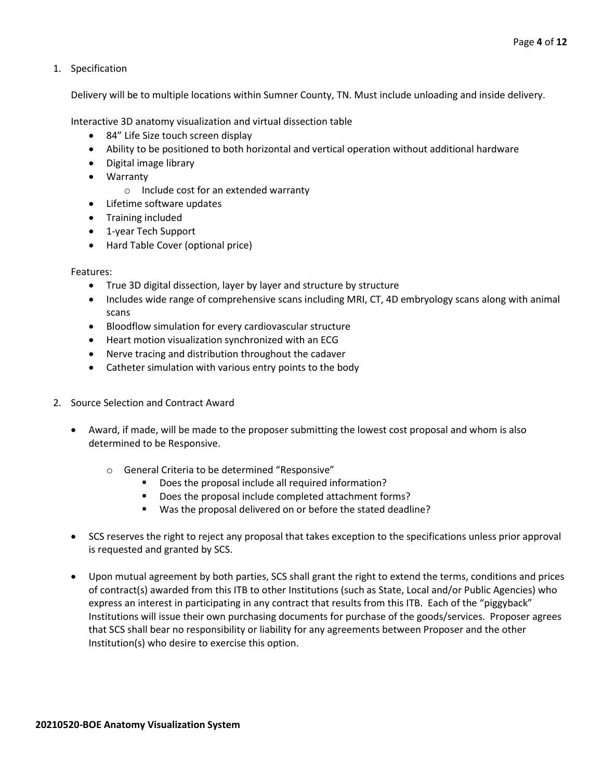1. Specification

Delivery will be to multiple locations within Sumner County, TN. Must include unloading and inside delivery.

Interactive 3D anatomy visualization and virtual dissection table

- 84" Life Size touch screen display
- Ability to be positioned to both horizontal and vertical operation without additional hardware
- Digital image library
- Warranty
	- o Include cost for an extended warranty
- Lifetime software updates
- Training included
- 1-year Tech Support
- Hard Table Cover (optional price)

#### Features:

- True 3D digital dissection, layer by layer and structure by structure
- Includes wide range of comprehensive scans including MRI, CT, 4D embryology scans along with animal scans
- Bloodflow simulation for every cardiovascular structure
- Heart motion visualization synchronized with an ECG
- Nerve tracing and distribution throughout the cadaver
- Catheter simulation with various entry points to the body
- 2. Source Selection and Contract Award
	- Award, if made, will be made to the proposer submitting the lowest cost proposal and whom is also determined to be Responsive.
		- o General Criteria to be determined "Responsive"
			- Does the proposal include all required information?
			- Does the proposal include completed attachment forms?
			- Was the proposal delivered on or before the stated deadline?
	- SCS reserves the right to reject any proposal that takes exception to the specifications unless prior approval is requested and granted by SCS.
	- Upon mutual agreement by both parties, SCS shall grant the right to extend the terms, conditions and prices of contract(s) awarded from this ITB to other Institutions (such as State, Local and/or Public Agencies) who express an interest in participating in any contract that results from this ITB. Each of the "piggyback" Institutions will issue their own purchasing documents for purchase of the goods/services. Proposer agrees that SCS shall bear no responsibility or liability for any agreements between Proposer and the other Institution(s) who desire to exercise this option.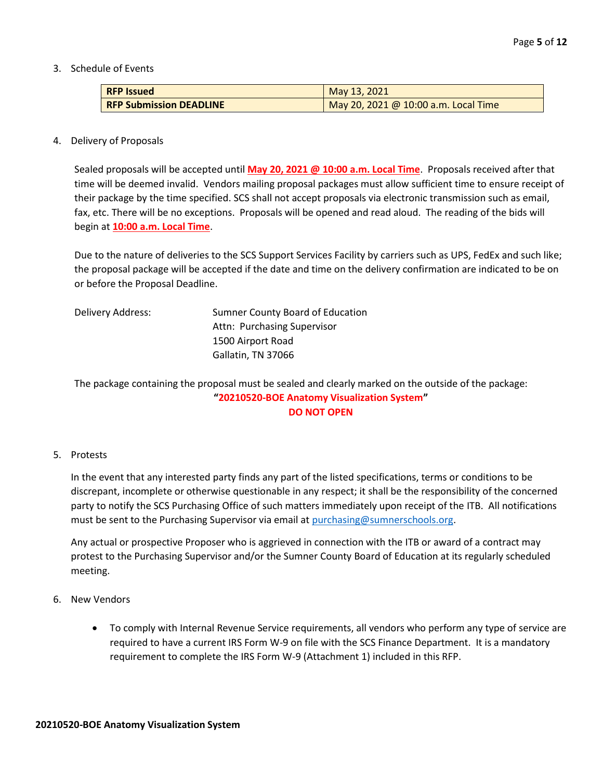3. Schedule of Events

| <b>RFP Issued</b>              | May 13, 2021                         |
|--------------------------------|--------------------------------------|
| <b>RFP Submission DEADLINE</b> | May 20, 2021 @ 10:00 a.m. Local Time |

#### 4. Delivery of Proposals

Sealed proposals will be accepted until **May 20, 2021 @ 10:00 a.m. Local Time**. Proposals received after that time will be deemed invalid. Vendors mailing proposal packages must allow sufficient time to ensure receipt of their package by the time specified. SCS shall not accept proposals via electronic transmission such as email, fax, etc. There will be no exceptions. Proposals will be opened and read aloud. The reading of the bids will begin at **10:00 a.m. Local Time**.

Due to the nature of deliveries to the SCS Support Services Facility by carriers such as UPS, FedEx and such like; the proposal package will be accepted if the date and time on the delivery confirmation are indicated to be on or before the Proposal Deadline.

| Sumner County Board of Education |
|----------------------------------|
| Attn: Purchasing Supervisor      |
| 1500 Airport Road                |
| Gallatin, TN 37066               |
|                                  |

The package containing the proposal must be sealed and clearly marked on the outside of the package: **"20210520-BOE Anatomy Visualization System" DO NOT OPEN**

#### 5. Protests

In the event that any interested party finds any part of the listed specifications, terms or conditions to be discrepant, incomplete or otherwise questionable in any respect; it shall be the responsibility of the concerned party to notify the SCS Purchasing Office of such matters immediately upon receipt of the ITB. All notifications must be sent to the Purchasing Supervisor via email at [purchasing@sumnerschools.org.](mailto:purchasing@sumnerschools.org)

Any actual or prospective Proposer who is aggrieved in connection with the ITB or award of a contract may protest to the Purchasing Supervisor and/or the Sumner County Board of Education at its regularly scheduled meeting.

- 6. New Vendors
	- To comply with Internal Revenue Service requirements, all vendors who perform any type of service are required to have a current IRS Form W-9 on file with the SCS Finance Department. It is a mandatory requirement to complete the IRS Form W-9 (Attachment 1) included in this RFP.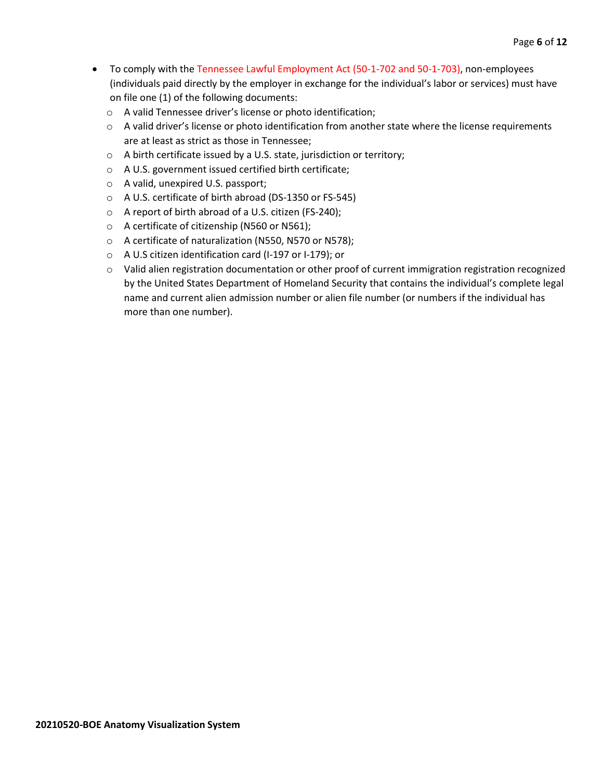- To comply with the Tennessee Lawful Employment Act (50-1-702 and 50-1-703), non-employees (individuals paid directly by the employer in exchange for the individual's labor or services) must have on file one (1) of the following documents:
	- o A valid Tennessee driver's license or photo identification;
	- $\circ$  A valid driver's license or photo identification from another state where the license requirements are at least as strict as those in Tennessee;
	- o A birth certificate issued by a U.S. state, jurisdiction or territory;
	- o A U.S. government issued certified birth certificate;
	- o A valid, unexpired U.S. passport;
	- o A U.S. certificate of birth abroad (DS-1350 or FS-545)
	- o A report of birth abroad of a U.S. citizen (FS-240);
	- o A certificate of citizenship (N560 or N561);
	- o A certificate of naturalization (N550, N570 or N578);
	- o A U.S citizen identification card (I-197 or I-179); or
	- o Valid alien registration documentation or other proof of current immigration registration recognized by the United States Department of Homeland Security that contains the individual's complete legal name and current alien admission number or alien file number (or numbers if the individual has more than one number).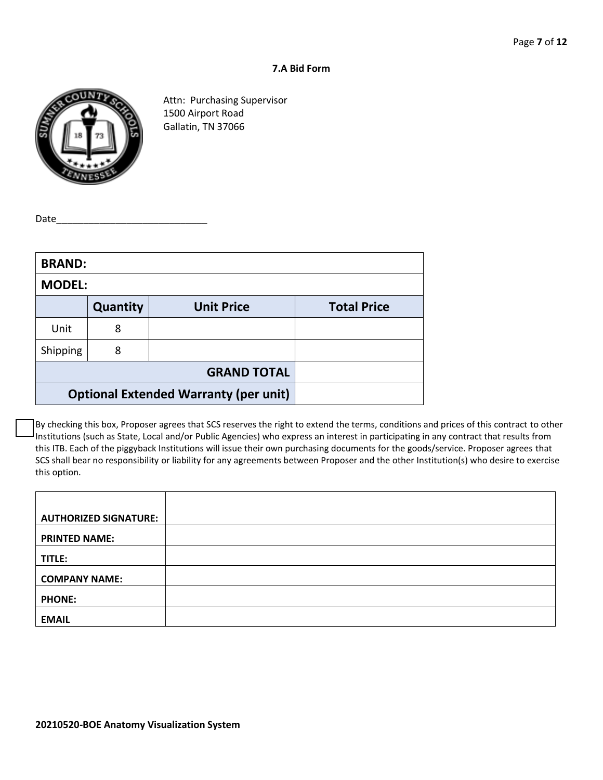#### **7.A Bid Form**



Attn: Purchasing Supervisor 1500 Airport Road Gallatin, TN 37066

Date

| <b>BRAND:</b>                                |          |                   |                    |  |  |
|----------------------------------------------|----------|-------------------|--------------------|--|--|
| <b>MODEL:</b>                                |          |                   |                    |  |  |
|                                              | Quantity | <b>Unit Price</b> | <b>Total Price</b> |  |  |
| Unit                                         | 8        |                   |                    |  |  |
| Shipping                                     | 8        |                   |                    |  |  |
|                                              |          |                   |                    |  |  |
| <b>Optional Extended Warranty (per unit)</b> |          |                   |                    |  |  |

By checking this box, Proposer agrees that SCS reserves the right to extend the terms, conditions and prices of this contract to other Institutions (such as State, Local and/or Public Agencies) who express an interest in participating in any contract that results from this ITB. Each of the piggyback Institutions will issue their own purchasing documents for the goods/service. Proposer agrees that SCS shall bear no responsibility or liability for any agreements between Proposer and the other Institution(s) who desire to exercise this option.

| <b>AUTHORIZED SIGNATURE:</b> |  |
|------------------------------|--|
| <b>PRINTED NAME:</b>         |  |
| TITLE:                       |  |
| <b>COMPANY NAME:</b>         |  |
| <b>PHONE:</b>                |  |
| <b>EMAIL</b>                 |  |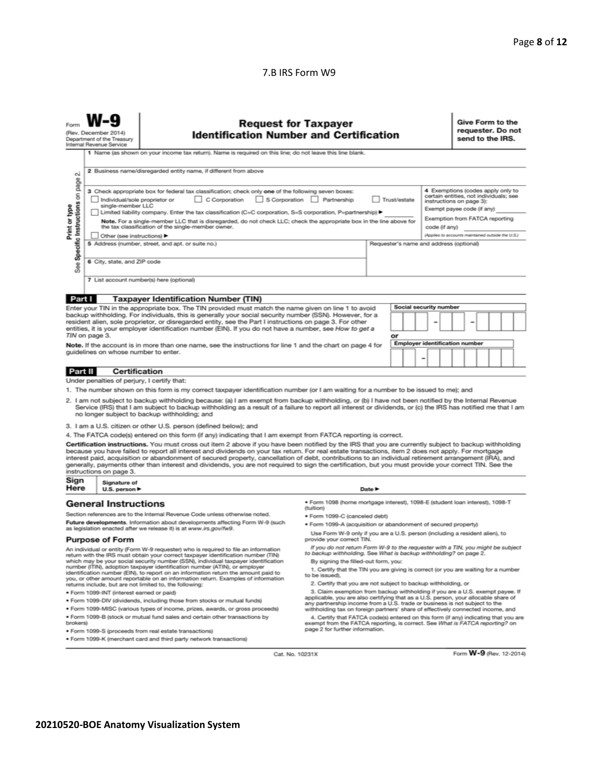#### 7.B IRS Form W9

|                                                                                                                                                                                                                                                                                                                                                                                                                                                                                                                                                                                                                                                                                                                                                                                                                                                                                                                                                             | <b>Request for Taxpayer</b><br>(Rev. December 2014)<br><b>Identification Number and Certification</b><br>Department of the Treasury<br>Internal Revenue Service<br>1 Name (as shown on your income tax return). Name is required on this line; do not leave this line blank. |                                                                                                                                                                                                                                                                                                                                  |                                                                                                                                                                                                        |        |    |  |                                                                                                                                                                         | Give Form to the<br>requester. Do not<br>send to the IRS. |  |  |  |  |
|-------------------------------------------------------------------------------------------------------------------------------------------------------------------------------------------------------------------------------------------------------------------------------------------------------------------------------------------------------------------------------------------------------------------------------------------------------------------------------------------------------------------------------------------------------------------------------------------------------------------------------------------------------------------------------------------------------------------------------------------------------------------------------------------------------------------------------------------------------------------------------------------------------------------------------------------------------------|------------------------------------------------------------------------------------------------------------------------------------------------------------------------------------------------------------------------------------------------------------------------------|----------------------------------------------------------------------------------------------------------------------------------------------------------------------------------------------------------------------------------------------------------------------------------------------------------------------------------|--------------------------------------------------------------------------------------------------------------------------------------------------------------------------------------------------------|--------|----|--|-------------------------------------------------------------------------------------------------------------------------------------------------------------------------|-----------------------------------------------------------|--|--|--|--|
| οú<br>page                                                                                                                                                                                                                                                                                                                                                                                                                                                                                                                                                                                                                                                                                                                                                                                                                                                                                                                                                  |                                                                                                                                                                                                                                                                              | 2 Business name/disregarded entity name, if different from above                                                                                                                                                                                                                                                                 |                                                                                                                                                                                                        |        |    |  |                                                                                                                                                                         |                                                           |  |  |  |  |
| 3 Check appropriate box for federal tax classification; check only one of the following seven boxes:<br>Specific Instructions on<br>S Corporation Partnership<br>C Corporation<br>Trust/estate<br>Individual/sole proprietor or<br>single-member LLC<br>Print or type<br>Limited liability company. Enter the tax classification (C=C corporation, S=S corporation, P=partnership) ▶<br>Note. For a single-member LLC that is disregarded, do not check LLC; check the appropriate box in the line above for<br>the tax classification of the single-member owner.<br>code (if any)                                                                                                                                                                                                                                                                                                                                                                         |                                                                                                                                                                                                                                                                              |                                                                                                                                                                                                                                                                                                                                  |                                                                                                                                                                                                        |        |    |  | 4 Exemptions (codes apply only to<br>certain entities, not individuals; see<br>instructions on page 3):<br>Exempt payee code (if any)<br>Exemption from FATCA reporting |                                                           |  |  |  |  |
| (Applies to accounts maintained outside the U.S.)<br>Other (see instructions) ▶<br>5 Address (number, street, and apt. or suite no.)<br>Requester's name and address (optional)<br>6 City, state, and ZIP code<br>See                                                                                                                                                                                                                                                                                                                                                                                                                                                                                                                                                                                                                                                                                                                                       |                                                                                                                                                                                                                                                                              |                                                                                                                                                                                                                                                                                                                                  |                                                                                                                                                                                                        |        |    |  |                                                                                                                                                                         |                                                           |  |  |  |  |
|                                                                                                                                                                                                                                                                                                                                                                                                                                                                                                                                                                                                                                                                                                                                                                                                                                                                                                                                                             |                                                                                                                                                                                                                                                                              | 7 List account number(s) here (optional)                                                                                                                                                                                                                                                                                         |                                                                                                                                                                                                        |        |    |  |                                                                                                                                                                         |                                                           |  |  |  |  |
| Part I                                                                                                                                                                                                                                                                                                                                                                                                                                                                                                                                                                                                                                                                                                                                                                                                                                                                                                                                                      |                                                                                                                                                                                                                                                                              | <b>Taxpayer Identification Number (TIN)</b>                                                                                                                                                                                                                                                                                      |                                                                                                                                                                                                        |        |    |  |                                                                                                                                                                         |                                                           |  |  |  |  |
|                                                                                                                                                                                                                                                                                                                                                                                                                                                                                                                                                                                                                                                                                                                                                                                                                                                                                                                                                             |                                                                                                                                                                                                                                                                              | Enter your TIN in the appropriate box. The TIN provided must match the name given on line 1 to avoid                                                                                                                                                                                                                             |                                                                                                                                                                                                        |        |    |  | <b>Social security number</b>                                                                                                                                           |                                                           |  |  |  |  |
|                                                                                                                                                                                                                                                                                                                                                                                                                                                                                                                                                                                                                                                                                                                                                                                                                                                                                                                                                             | TIN on page 3.                                                                                                                                                                                                                                                               | backup withholding. For individuals, this is generally your social security number (SSN). However, for a<br>resident alien, sole proprietor, or disregarded entity, see the Part I instructions on page 3. For other<br>entities, it is your employer identification number (EIN). If you do not have a number, see How to get a |                                                                                                                                                                                                        |        |    |  |                                                                                                                                                                         |                                                           |  |  |  |  |
|                                                                                                                                                                                                                                                                                                                                                                                                                                                                                                                                                                                                                                                                                                                                                                                                                                                                                                                                                             |                                                                                                                                                                                                                                                                              |                                                                                                                                                                                                                                                                                                                                  |                                                                                                                                                                                                        |        | or |  | <b>Employer identification number</b>                                                                                                                                   |                                                           |  |  |  |  |
|                                                                                                                                                                                                                                                                                                                                                                                                                                                                                                                                                                                                                                                                                                                                                                                                                                                                                                                                                             | quidelines on whose number to enter.                                                                                                                                                                                                                                         | Note. If the account is in more than one name, see the instructions for line 1 and the chart on page 4 for                                                                                                                                                                                                                       |                                                                                                                                                                                                        |        |    |  | -                                                                                                                                                                       |                                                           |  |  |  |  |
| Part II                                                                                                                                                                                                                                                                                                                                                                                                                                                                                                                                                                                                                                                                                                                                                                                                                                                                                                                                                     | Certification                                                                                                                                                                                                                                                                |                                                                                                                                                                                                                                                                                                                                  |                                                                                                                                                                                                        |        |    |  |                                                                                                                                                                         |                                                           |  |  |  |  |
|                                                                                                                                                                                                                                                                                                                                                                                                                                                                                                                                                                                                                                                                                                                                                                                                                                                                                                                                                             | Under penalties of perjury, I certify that:                                                                                                                                                                                                                                  |                                                                                                                                                                                                                                                                                                                                  |                                                                                                                                                                                                        |        |    |  |                                                                                                                                                                         |                                                           |  |  |  |  |
|                                                                                                                                                                                                                                                                                                                                                                                                                                                                                                                                                                                                                                                                                                                                                                                                                                                                                                                                                             |                                                                                                                                                                                                                                                                              | 1. The number shown on this form is my correct taxpayer identification number (or I am waiting for a number to be issued to me); and                                                                                                                                                                                             |                                                                                                                                                                                                        |        |    |  |                                                                                                                                                                         |                                                           |  |  |  |  |
| 2. I am not subject to backup withholding because: (a) I am exempt from backup withholding, or (b) I have not been notified by the Internal Revenue<br>Service (IRS) that I am subject to backup withholding as a result of a failure to report all interest or dividends, or (c) the IRS has notified me that I am<br>no longer subject to backup withholding; and                                                                                                                                                                                                                                                                                                                                                                                                                                                                                                                                                                                         |                                                                                                                                                                                                                                                                              |                                                                                                                                                                                                                                                                                                                                  |                                                                                                                                                                                                        |        |    |  |                                                                                                                                                                         |                                                           |  |  |  |  |
|                                                                                                                                                                                                                                                                                                                                                                                                                                                                                                                                                                                                                                                                                                                                                                                                                                                                                                                                                             |                                                                                                                                                                                                                                                                              | 3. I am a U.S. citizen or other U.S. person (defined below); and                                                                                                                                                                                                                                                                 |                                                                                                                                                                                                        |        |    |  |                                                                                                                                                                         |                                                           |  |  |  |  |
|                                                                                                                                                                                                                                                                                                                                                                                                                                                                                                                                                                                                                                                                                                                                                                                                                                                                                                                                                             |                                                                                                                                                                                                                                                                              | 4. The FATCA code(s) entered on this form (if any) indicating that I am exempt from FATCA reporting is correct.                                                                                                                                                                                                                  |                                                                                                                                                                                                        |        |    |  |                                                                                                                                                                         |                                                           |  |  |  |  |
| Certification instructions. You must cross out item 2 above if you have been notified by the IRS that you are currently subject to backup withholding<br>because you have failed to report all interest and dividends on your tax return. For real estate transactions, item 2 does not apply. For mortgage<br>interest paid, acquisition or abandonment of secured property, cancellation of debt, contributions to an individual retirement arrangement (IRA), and<br>generally, payments other than interest and dividends, you are not required to sign the certification, but you must provide your correct TIN. See the<br>instructions on page 3.                                                                                                                                                                                                                                                                                                    |                                                                                                                                                                                                                                                                              |                                                                                                                                                                                                                                                                                                                                  |                                                                                                                                                                                                        |        |    |  |                                                                                                                                                                         |                                                           |  |  |  |  |
| Sign<br>Here                                                                                                                                                                                                                                                                                                                                                                                                                                                                                                                                                                                                                                                                                                                                                                                                                                                                                                                                                | Signature of<br>U.S. person $\blacktriangleright$                                                                                                                                                                                                                            |                                                                                                                                                                                                                                                                                                                                  |                                                                                                                                                                                                        | Date P |    |  |                                                                                                                                                                         |                                                           |  |  |  |  |
|                                                                                                                                                                                                                                                                                                                                                                                                                                                                                                                                                                                                                                                                                                                                                                                                                                                                                                                                                             | <b>General Instructions</b>                                                                                                                                                                                                                                                  | Section references are to the Internal Revenue Code unless otherwise noted.                                                                                                                                                                                                                                                      | ● Form 1098 (home mortgage interest), 1098-E (student loan interest), 1098-T<br>(tuition)<br>· Form 1099-C (canceled debt)                                                                             |        |    |  |                                                                                                                                                                         |                                                           |  |  |  |  |
|                                                                                                                                                                                                                                                                                                                                                                                                                                                                                                                                                                                                                                                                                                                                                                                                                                                                                                                                                             |                                                                                                                                                                                                                                                                              | Future developments. Information about developments affecting Form W-9 (such                                                                                                                                                                                                                                                     |                                                                                                                                                                                                        |        |    |  |                                                                                                                                                                         |                                                           |  |  |  |  |
| as legislation enacted after we release it) is at www.irs.gov/fw9.                                                                                                                                                                                                                                                                                                                                                                                                                                                                                                                                                                                                                                                                                                                                                                                                                                                                                          |                                                                                                                                                                                                                                                                              |                                                                                                                                                                                                                                                                                                                                  | · Form 1099-A (acquisition or abandonment of secured property)<br>Use Form W-9 only if you are a U.S. person (including a resident alien), to                                                          |        |    |  |                                                                                                                                                                         |                                                           |  |  |  |  |
| <b>Purpose of Form</b><br>provide your correct TIN.                                                                                                                                                                                                                                                                                                                                                                                                                                                                                                                                                                                                                                                                                                                                                                                                                                                                                                         |                                                                                                                                                                                                                                                                              |                                                                                                                                                                                                                                                                                                                                  |                                                                                                                                                                                                        |        |    |  |                                                                                                                                                                         |                                                           |  |  |  |  |
| If you do not return Form W-9 to the requester with a TIN, you might be subject<br>An individual or entity (Form W-9 requester) who is required to file an information<br>to backup withholding. See What is backup withholding? on page 2.<br>return with the IRS must obtain your correct taxpayer identification number (TIN)<br>which may be your social security number (SSN), individual taxpayer identification<br>By signing the filled-out form, you:<br>number (ITIN), adoption taxpayer identification number (ATIN), or employer<br>1. Certify that the TIN you are giving is correct (or you are waiting for a number<br>identification number (EIN), to report on an information return the amount paid to<br>to be issued).<br>you, or other amount reportable on an information return. Examples of information<br>2. Certify that you are not subject to backup withholding, or<br>returns include, but are not limited to, the following: |                                                                                                                                                                                                                                                                              |                                                                                                                                                                                                                                                                                                                                  |                                                                                                                                                                                                        |        |    |  |                                                                                                                                                                         |                                                           |  |  |  |  |
|                                                                                                                                                                                                                                                                                                                                                                                                                                                                                                                                                                                                                                                                                                                                                                                                                                                                                                                                                             | · Form 1099-INT (interest earned or paid)                                                                                                                                                                                                                                    |                                                                                                                                                                                                                                                                                                                                  | 3. Claim exemption from backup withholding if you are a U.S. exempt payee. If                                                                                                                          |        |    |  |                                                                                                                                                                         |                                                           |  |  |  |  |
|                                                                                                                                                                                                                                                                                                                                                                                                                                                                                                                                                                                                                                                                                                                                                                                                                                                                                                                                                             |                                                                                                                                                                                                                                                                              | . Form 1099-DIV (dividends, including those from stocks or mutual funds)                                                                                                                                                                                                                                                         | applicable, you are also certifying that as a U.S. person, your allocable share of<br>any partnership income from a U.S. trade or business is not subject to the                                       |        |    |  |                                                                                                                                                                         |                                                           |  |  |  |  |
|                                                                                                                                                                                                                                                                                                                                                                                                                                                                                                                                                                                                                                                                                                                                                                                                                                                                                                                                                             |                                                                                                                                                                                                                                                                              | * Form 1099-MISC (various types of income, prizes, awards, or gross proceeds)                                                                                                                                                                                                                                                    | withholding tax on foreign partners' share of effectively connected income, and                                                                                                                        |        |    |  |                                                                                                                                                                         |                                                           |  |  |  |  |
| brokers)                                                                                                                                                                                                                                                                                                                                                                                                                                                                                                                                                                                                                                                                                                                                                                                                                                                                                                                                                    |                                                                                                                                                                                                                                                                              | . Form 1099-B (stock or mutual fund sales and certain other transactions by<br>· Form 1099-S (proceeds from real estate transactions)                                                                                                                                                                                            | 4. Certify that FATCA code(s) entered on this form (if any) indicating that you are<br>exempt from the FATCA reporting, is correct. See What is FATCA reporting? on<br>page 2 for further information. |        |    |  |                                                                                                                                                                         |                                                           |  |  |  |  |
| . Form 1099-K (merchant card and third party network transactions)                                                                                                                                                                                                                                                                                                                                                                                                                                                                                                                                                                                                                                                                                                                                                                                                                                                                                          |                                                                                                                                                                                                                                                                              |                                                                                                                                                                                                                                                                                                                                  |                                                                                                                                                                                                        |        |    |  |                                                                                                                                                                         |                                                           |  |  |  |  |

Cat. No. 10231X

Form W-9 (Rev. 12-2014)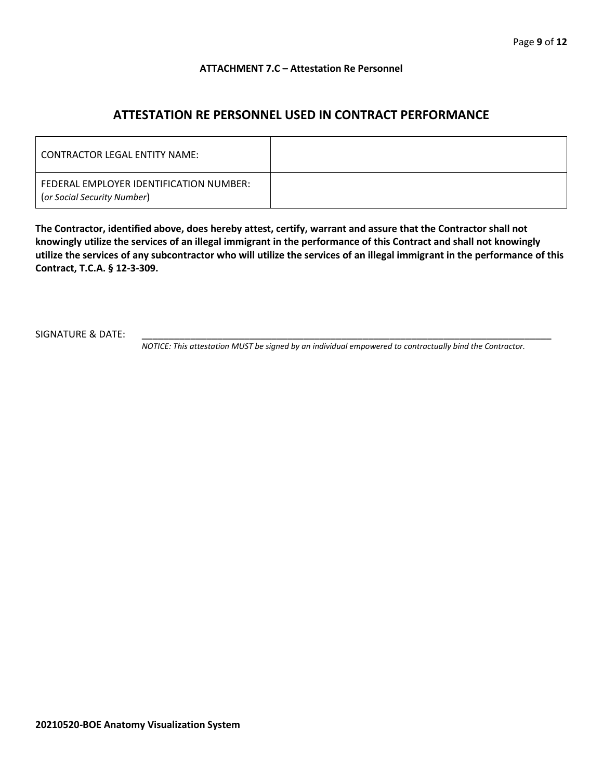#### **ATTACHMENT 7.C – Attestation Re Personnel**

## **ATTESTATION RE PERSONNEL USED IN CONTRACT PERFORMANCE**

| CONTRACTOR LEGAL ENTITY NAME:                                          |  |
|------------------------------------------------------------------------|--|
| FEDERAL EMPLOYER IDENTIFICATION NUMBER:<br>(or Social Security Number) |  |

**The Contractor, identified above, does hereby attest, certify, warrant and assure that the Contractor shall not knowingly utilize the services of an illegal immigrant in the performance of this Contract and shall not knowingly utilize the services of any subcontractor who will utilize the services of an illegal immigrant in the performance of this Contract, T.C.A. § 12-3-309.**

SIGNATURE & DATE:

*NOTICE: This attestation MUST be signed by an individual empowered to contractually bind the Contractor.*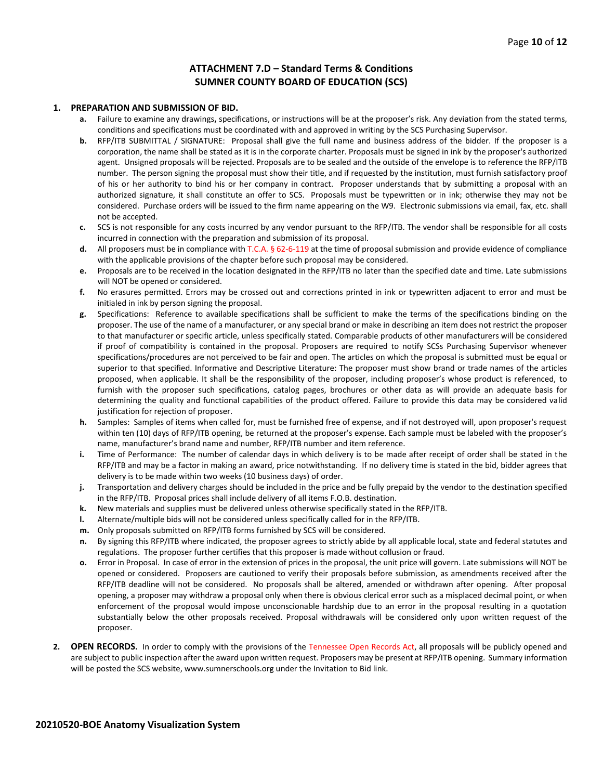#### **ATTACHMENT 7.D – Standard Terms & Conditions SUMNER COUNTY BOARD OF EDUCATION (SCS)**

#### **1. PREPARATION AND SUBMISSION OF BID.**

- **a.** Failure to examine any drawings**,** specifications, or instructions will be at the proposer's risk. Any deviation from the stated terms, conditions and specifications must be coordinated with and approved in writing by the SCS Purchasing Supervisor.
- **b.** RFP/ITB SUBMITTAL / SIGNATURE: Proposal shall give the full name and business address of the bidder. If the proposer is a corporation, the name shall be stated as it is in the corporate charter. Proposals must be signed in ink by the proposer's authorized agent. Unsigned proposals will be rejected. Proposals are to be sealed and the outside of the envelope is to reference the RFP/ITB number. The person signing the proposal must show their title, and if requested by the institution, must furnish satisfactory proof of his or her authority to bind his or her company in contract. Proposer understands that by submitting a proposal with an authorized signature, it shall constitute an offer to SCS. Proposals must be typewritten or in ink; otherwise they may not be considered. Purchase orders will be issued to the firm name appearing on the W9. Electronic submissions via email, fax, etc. shall not be accepted.
- **c.** SCS is not responsible for any costs incurred by any vendor pursuant to the RFP/ITB. The vendor shall be responsible for all costs incurred in connection with the preparation and submission of its proposal.
- **d.** All proposers must be in compliance with T.C.A. § 62-6-119 at the time of proposal submission and provide evidence of compliance with the applicable provisions of the chapter before such proposal may be considered.
- **e.** Proposals are to be received in the location designated in the RFP/ITB no later than the specified date and time. Late submissions will NOT be opened or considered.
- **f.** No erasures permitted. Errors may be crossed out and corrections printed in ink or typewritten adjacent to error and must be initialed in ink by person signing the proposal.
- **g.** Specifications: Reference to available specifications shall be sufficient to make the terms of the specifications binding on the proposer. The use of the name of a manufacturer, or any special brand or make in describing an item does not restrict the proposer to that manufacturer or specific article, unless specifically stated. Comparable products of other manufacturers will be considered if proof of compatibility is contained in the proposal. Proposers are required to notify SCSs Purchasing Supervisor whenever specifications/procedures are not perceived to be fair and open. The articles on which the proposal is submitted must be equal or superior to that specified. Informative and Descriptive Literature: The proposer must show brand or trade names of the articles proposed, when applicable. It shall be the responsibility of the proposer, including proposer's whose product is referenced, to furnish with the proposer such specifications, catalog pages, brochures or other data as will provide an adequate basis for determining the quality and functional capabilities of the product offered. Failure to provide this data may be considered valid justification for rejection of proposer.
- **h.** Samples: Samples of items when called for, must be furnished free of expense, and if not destroyed will, upon proposer's request within ten (10) days of RFP/ITB opening, be returned at the proposer's expense. Each sample must be labeled with the proposer's name, manufacturer's brand name and number, RFP/ITB number and item reference.
- **i.** Time of Performance: The number of calendar days in which delivery is to be made after receipt of order shall be stated in the RFP/ITB and may be a factor in making an award, price notwithstanding. If no delivery time is stated in the bid, bidder agrees that delivery is to be made within two weeks (10 business days) of order.
- **j.** Transportation and delivery charges should be included in the price and be fully prepaid by the vendor to the destination specified in the RFP/ITB. Proposal prices shall include delivery of all items F.O.B. destination.
- **k.** New materials and supplies must be delivered unless otherwise specifically stated in the RFP/ITB.
- **l.** Alternate/multiple bids will not be considered unless specifically called for in the RFP/ITB.
- **m.** Only proposals submitted on RFP/ITB forms furnished by SCS will be considered.
- **n.** By signing this RFP/ITB where indicated, the proposer agrees to strictly abide by all applicable local, state and federal statutes and regulations. The proposer further certifies that this proposer is made without collusion or fraud.
- **o.** Error in Proposal. In case of error in the extension of prices in the proposal, the unit price will govern. Late submissions will NOT be opened or considered. Proposers are cautioned to verify their proposals before submission, as amendments received after the RFP/ITB deadline will not be considered. No proposals shall be altered, amended or withdrawn after opening. After proposal opening, a proposer may withdraw a proposal only when there is obvious clerical error such as a misplaced decimal point, or when enforcement of the proposal would impose unconscionable hardship due to an error in the proposal resulting in a quotation substantially below the other proposals received. Proposal withdrawals will be considered only upon written request of the proposer.
- **2. OPEN RECORDS.** In order to comply with the provisions of the Tennessee Open Records Act, all proposals will be publicly opened and are subject to public inspection after the award upon written request. Proposers may be present at RFP/ITB opening. Summary information will be posted the SCS website, www.sumnerschools.org under the Invitation to Bid link.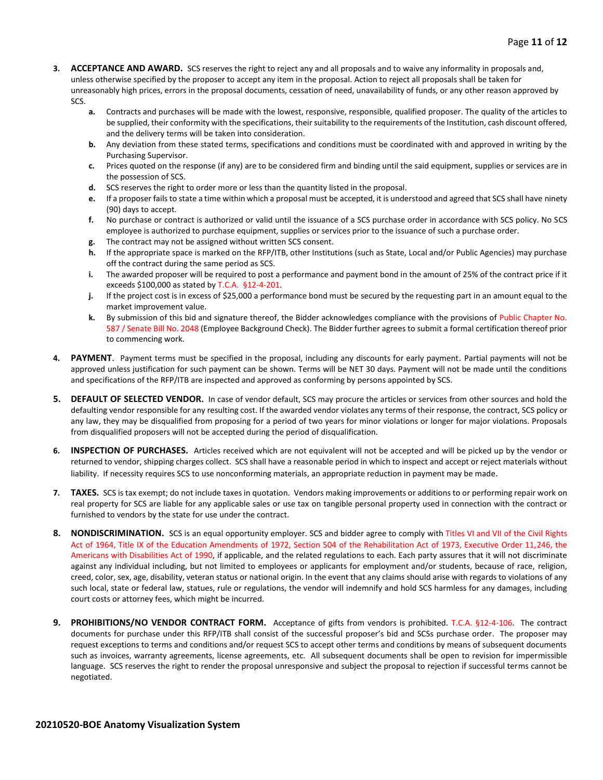- **3. ACCEPTANCE AND AWARD.** SCS reserves the right to reject any and all proposals and to waive any informality in proposals and, unless otherwise specified by the proposer to accept any item in the proposal. Action to reject all proposals shall be taken for unreasonably high prices, errors in the proposal documents, cessation of need, unavailability of funds, or any other reason approved by SCS.
	- **a.** Contracts and purchases will be made with the lowest, responsive, responsible, qualified proposer. The quality of the articles to be supplied, their conformity with the specifications, their suitability to the requirements of the Institution, cash discount offered, and the delivery terms will be taken into consideration.
	- **b.** Any deviation from these stated terms, specifications and conditions must be coordinated with and approved in writing by the Purchasing Supervisor.
	- **c.** Prices quoted on the response (if any) are to be considered firm and binding until the said equipment, supplies or services are in the possession of SCS.
	- **d.** SCS reserves the right to order more or less than the quantity listed in the proposal.
	- **e.** If a proposer fails to state a time within which a proposal must be accepted, it is understood and agreed that SCS shall have ninety (90) days to accept.
	- **f.** No purchase or contract is authorized or valid until the issuance of a SCS purchase order in accordance with SCS policy. No SCS employee is authorized to purchase equipment, supplies or services prior to the issuance of such a purchase order.
	- **g.** The contract may not be assigned without written SCS consent.
	- **h.** If the appropriate space is marked on the RFP/ITB, other Institutions (such as State, Local and/or Public Agencies) may purchase off the contract during the same period as SCS.
	- **i.** The awarded proposer will be required to post a performance and payment bond in the amount of 25% of the contract price if it exceeds \$100,000 as stated by T.C.A. §12-4-201.
	- **j.** If the project cost is in excess of \$25,000 a performance bond must be secured by the requesting part in an amount equal to the market improvement value.
	- **k.** By submission of this bid and signature thereof, the Bidder acknowledges compliance with the provisions of Public Chapter No. 587 / Senate Bill No. 2048 (Employee Background Check). The Bidder further agrees to submit a formal certification thereof prior to commencing work.
- **4. PAYMENT**. Payment terms must be specified in the proposal, including any discounts for early payment. Partial payments will not be approved unless justification for such payment can be shown. Terms will be NET 30 days. Payment will not be made until the conditions and specifications of the RFP/ITB are inspected and approved as conforming by persons appointed by SCS.
- **5. DEFAULT OF SELECTED VENDOR.** In case of vendor default, SCS may procure the articles or services from other sources and hold the defaulting vendor responsible for any resulting cost. If the awarded vendor violates any terms of their response, the contract, SCS policy or any law, they may be disqualified from proposing for a period of two years for minor violations or longer for major violations. Proposals from disqualified proposers will not be accepted during the period of disqualification.
- **6. INSPECTION OF PURCHASES.** Articles received which are not equivalent will not be accepted and will be picked up by the vendor or returned to vendor, shipping charges collect. SCS shall have a reasonable period in which to inspect and accept or reject materials without liability. If necessity requires SCS to use nonconforming materials, an appropriate reduction in payment may be made.
- **7. TAXES.** SCS is tax exempt; do not include taxes in quotation. Vendors making improvements or additions to or performing repair work on real property for SCS are liable for any applicable sales or use tax on tangible personal property used in connection with the contract or furnished to vendors by the state for use under the contract.
- **8. NONDISCRIMINATION.** SCS is an equal opportunity employer. SCS and bidder agree to comply with Titles VI and VII of the Civil Rights Act of 1964, Title IX of the Education Amendments of 1972, Section 504 of the Rehabilitation Act of 1973, Executive Order 11,246, the Americans with Disabilities Act of 1990, if applicable, and the related regulations to each. Each party assures that it will not discriminate against any individual including, but not limited to employees or applicants for employment and/or students, because of race, religion, creed, color, sex, age, disability, veteran status or national origin. In the event that any claims should arise with regards to violations of any such local, state or federal law, statues, rule or regulations, the vendor will indemnify and hold SCS harmless for any damages, including court costs or attorney fees, which might be incurred.
- **9. PROHIBITIONS/NO VENDOR CONTRACT FORM.** Acceptance of gifts from vendors is prohibited. T.C.A. §12-4-106. The contract documents for purchase under this RFP/ITB shall consist of the successful proposer's bid and SCSs purchase order. The proposer may request exceptions to terms and conditions and/or request SCS to accept other terms and conditions by means of subsequent documents such as invoices, warranty agreements, license agreements, etc. All subsequent documents shall be open to revision for impermissible language. SCS reserves the right to render the proposal unresponsive and subject the proposal to rejection if successful terms cannot be negotiated.